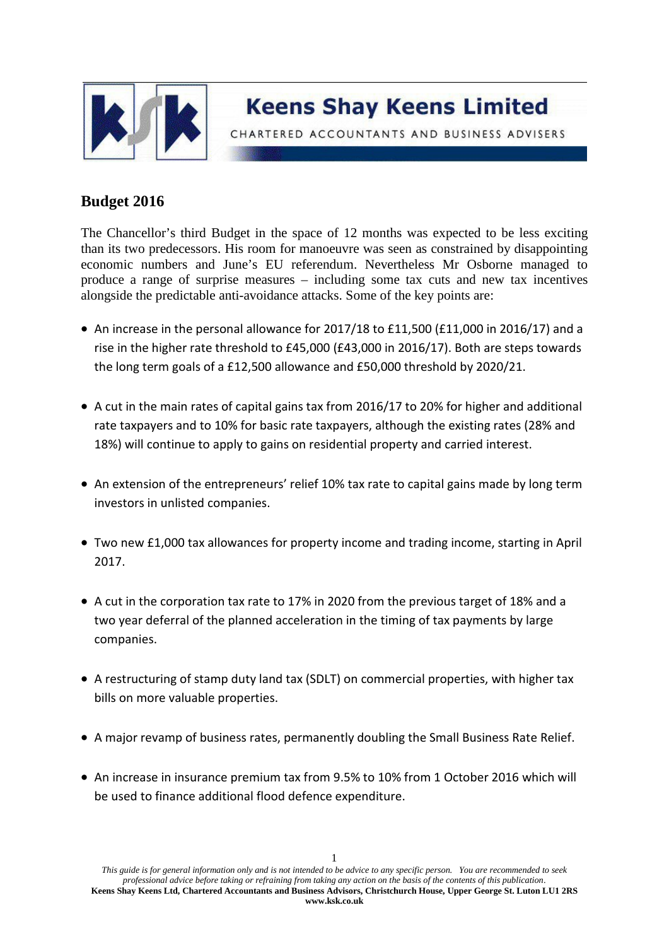

CHARTERED ACCOUNTANTS AND BUSINESS ADVISERS

## **Budget 2016**

The Chancellor's third Budget in the space of 12 months was expected to be less exciting than its two predecessors. His room for manoeuvre was seen as constrained by disappointing economic numbers and June's EU referendum. Nevertheless Mr Osborne managed to produce a range of surprise measures – including some tax cuts and new tax incentives alongside the predictable anti-avoidance attacks. Some of the key points are:

- An increase in the personal allowance for 2017/18 to £11,500 (£11,000 in 2016/17) and a rise in the higher rate threshold to £45,000 (£43,000 in 2016/17). Both are steps towards the long term goals of a £12,500 allowance and £50,000 threshold by 2020/21.
- A cut in the main rates of capital gains tax from 2016/17 to 20% for higher and additional rate taxpayers and to 10% for basic rate taxpayers, although the existing rates (28% and 18%) will continue to apply to gains on residential property and carried interest.
- An extension of the entrepreneurs' relief 10% tax rate to capital gains made by long term investors in unlisted companies.
- Two new £1,000 tax allowances for property income and trading income, starting in April 2017.
- A cut in the corporation tax rate to 17% in 2020 from the previous target of 18% and a two year deferral of the planned acceleration in the timing of tax payments by large companies.
- A restructuring of stamp duty land tax (SDLT) on commercial properties, with higher tax bills on more valuable properties.
- A major revamp of business rates, permanently doubling the Small Business Rate Relief.
- An increase in insurance premium tax from 9.5% to 10% from 1 October 2016 which will be used to finance additional flood defence expenditure.